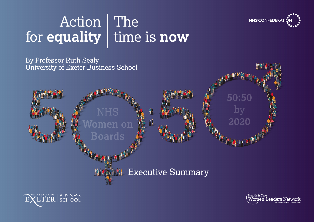

50:50

2020

# Action The for **equality** time is **now**

By Professor Ruth Sealy University of Exeter Business School







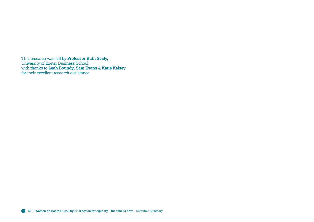This research was led by **Professor Ruth Sealy,** University of Exeter Business School, with thanks to **Leah Boundy, Sam Evans & Katie Kelsey** for their excellent research assistance.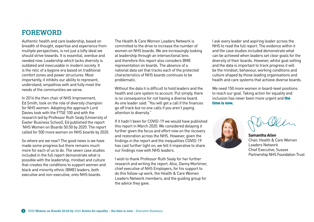# **FOREWORD**

Authentic health and care leadership, based on breadth of thought, expertise and experience from multiple perspectives, is not just a lofty ideal we should strive towards. It is essential, overdue and needed now. Leadership which lacks diversity is outdated and inexcusable in modern society. It is the relic of a bygone era based on traditional comfort zones and power structures. Most importantly, it inhibits our ability to represent, understand, empathise with and fully meet the needs of the communities we serve.

In 2016 the then chair of NHS Improvement, Ed Smith, took on the role of diversity champion for NHS women. Adopting the approach Lord Davies took with the FTSE 100 and with the research led by Professor Ruth Sealy (University of Exeter Business School), Ed published the report 'NHS Women on Boards 50:50 by 2020. The report called for 500 more women on NHS boards by 2020.

So where are we now? The good news is we have made some progress but there remains much more for each of us to do. The seven case studies included in the full report demonstrate what is possible with the leadership, mindset and culture that creates the conditions to support women and black and minority ethnic (BME) leaders, both executive and non-executive, onto NHS boards.

• national data set that tracks each of the protected The Health & Care Women Leaders Network is committed to the drive to increase the number of women on NHS boards. We are increasingly looking at leadership through an intersectional lens and therefore this report also considers BME representation on boards. The absence of a characteristics of NHS boards continues to be problematic.

• go off track but no one calls if you aren't paying Without the data it is difficult to hold leaders and the health and care system to account. Put simply, there is no consequence for not having a diverse board. As one leader said: "You will get a call if the finances attention to diversity."

further given the focus and effort now on the recovery If it hadn't been for COVID-19 we would have published this report in March 2020. We considered delaying it and restoration across the NHS. However, given the findings in the report and the inequalities COVID-19 has cast further light on, we felt it imperative to share our findings now with NHS leaders.

• I wish to thank Professor Ruth Sealy for her further research and writing the report. Also, Danny Mortimer, chief executive of NHS Employers, for his support to do this follow-up work, the Health & Care Women Leaders Network members, and the guiding group for the advice they gave.

I ask every leader and aspiring leader across the NHS to read the full report. The evidence within it and the case studies included demonstrate what can be achieved when leaders set clear goals for the diversity of their boards. However, whilst goal setting and the data is important to track progress it will be the mindset, behaviour, working conditions and culture shaped by those leading organisations and health and care systems that achieve diverse boards.

We need 150 more women in board-level positions to reach our goal. Taking action for equality and inclusion has never been more urgent and the time is now.



**Samantha Allen** Chair, Health & Care Women Leaders Network Chief Executive, Sussex Partnership NHS Foundation Trust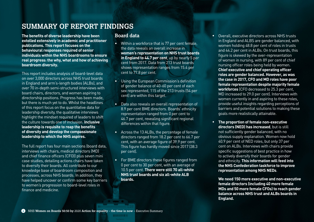**SUMMARY OF REPORT FINDINGS**

**The benefits of diverse leadership have been extolled extensively in academic and practitioner publications. This report focuses on the behavioural responses required of senior individuals within the NHS boardrooms to ensure real progress: the why, what and how of achieving boardroom diversity.**

This report includes analysis of board-level data on over 3,000 directors across NHS trust boards in England and arm's-length bodies (ALBs), and over 70 in-depth semi-structured interviews with board chairs, directors, and women aspiring to directorship positions. Progress has been made, but there is much yet to do. Whilst the headlines of this report focus on the quantitative data for leadership diversity, the qualitative interviews highlight the mindset required of leaders to shift the culture towards one of inclusion. **Inclusive leadership is requisite to reap the benefits of diversity and develop the compassionate leadership to which the NHS aspires.**

The full report has four main sections (board data, interviews with chairs, medical directors (MD) and chief finance officers (CFO)) plus seven mini case studies, detailing actions chairs have taken to diversify their boards. All contribute to our knowledge base of boardroom composition and processes, across NHS boards. In addition, they have helped uncover or confirm some key barriers to women's progression to board-level roles in finance and medicine.

#### **Board data**

- Within a workforce that is 77 per cent female, the data reveals an overall increase in **women's representation on NHS trust boards in England to 44.7 per cent**, up by nearly 5 per cent from 2017. Data from 213 trust boards shows representation ranges from 15.4 per cent to 77.8 per cent.
- Using the European Commission's definition of gender balance of 40-60 per cent of each sex represented, 115 of the 213 trusts (54 per cent) are within this target.
- Data also reveals an overall representation of 8.9 per cent BME directors. Boards' ethnicity representation ranged from 0 per cent to 46.7 per cent, revealing significant regional differences within that figure.
- Across the 13 ALBs, the percentage of female directors ranged from 18.2 per cent to 66.7 per cent, with an average figure of 39.9 per cent. This figure has hardly moved since 2017 (38.3 per cent).
- For BME directors these figures ranged from 0 per cent to 30 per cent, with an average of 10.5 per cent. **There were still 70 all-white NHS trust boards and six all-white ALB boards.**
- Overall, executive directors across NHS trusts in England and ALBS are gender balanced, with women holding 48.8 per cent of roles in trusts and 44.2 per cent in ALBs. On trust boards, this figure is skewed by the over-representation of women in nursing, with 89 per cent of chief nursing officer roles being held by women. **Chief executive and chief operating officer roles are gender balanced. However, as was the case in 2017, CFO and MD roles have poor female representation despite majority female workforces** (CFO decreased to 25.3 per cent, MD increased to 29.0 per cent). Interviews with women currently in and aspiring to these roles, provide useful insights regarding perceptions of barriers and potential solutions to making these goals more realistically attainable.
- **The proportion of female non-executive directors (NED) has increased**, but is still not sufficiently gender balanced, with no obvious supply explanation. Women now hold 40.9 per cent of NED roles, but only 37 per cent on ALBs. Interviews with chairs provide specific suggestions of best practice in how to actively diversify their boards for gender and ethnicity. **This information will feed into the NHS Confederation taskforce to improve representation among NHS NEDs**.

**We need 150 more executive and non-executive female directors (including 40 more female MDs and 50 more female CFOs) to reach gender balance across NHS trust and ALBs boards in England.**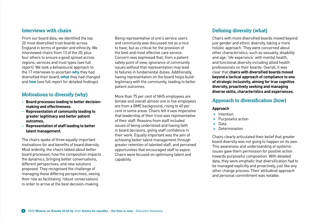#### **Interviews with chairs**

From our board data, we identified the top 20 most diversified trust boards across England in terms of gender and ethnicity. We interviewed chairs from 13 of the 20, plus four others to ensure a good spread across regions, services and trust types (see full report). We took a behavioural approach to the 17 interviews to ascertain **why** they had diversified their board, **what** they had changed and **how** (see full report for detailed findings).

#### **Motivations to diversify (why)**

- **Board processes leading to better decision making and effectiveness.**
- **Representation of community leading to greater legitimacy and better patient outcomes.**
- **Representation of staff leading to better talent management.**

The chairs spoke of three equally important motivations for and benefits of board diversity. Most ardently, the chairs talked about better board processes, how the composition impacts the dynamics, bringing better conversations, different perspectives, and new solutions proposed. They recognised the challenge of managing these differing perspectives, seeing their role as facilitating 'robust conversations' in order to arrive at the best decision-making.

Being representative of one's service users and community was discussed not as a nice to have, but as critical for the provision of the best and most effective care service. Concern was expressed that, from a patient safety point of view, ignorance of community issues without that representation may lead to failures in fundamental duties. Additionally, having representation on the board helps build legitimacy with the community, leading to better patient outcomes.

More than 75 per cent of NHS employees are female and overall almost one in five employees are from a BME background, rising to 40 per cent in some areas. Chairs felt it was imperative that leadership of their trust was representative of their staff. Reasons from staff included issues of being understood and having faith in board decisions, giving staff confidence in their work. Equally important was the aim of achieving better talent management through greater retention of talented staff, and perceived opportunities that encouraged staff to aspire. Chairs were focused on optimising talent and capability.

#### **Defining diversity (what)**

Chairs with more diversified boards moved beyond just gender and ethnic diversity, taking a more holistic approach. They were concerned about other characteristics, such as sexuality, disability and age, 'life experience' with mental health, and functional diversity including allied health professionals on their boards. Overall, it was clear that **chairs with diversified boards moved beyond a tactical approach of compliance to one of strategic inclusivity, aiming for true cognitive diversity, proactively seeking and managing diverse skills, characteristics and experiences.**

#### **Approach to diversification (how)**

#### **Approach**

- Intention
- **•** Purposeful action
- Data
- Determination

Chairs clearly articulated their belief that greater board diversity was not going to happen on its own. This awareness and understanding of systemic issues gave them permission for positive action towards purposeful composition. With detailed data, they were emphatic that diversification had to be managed explicitly and proactively, just like any other change process. Their attitudinal approach and personal commitment was notable.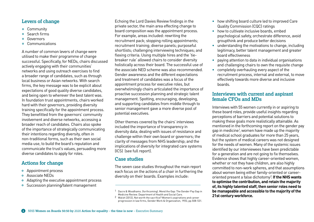## **Levers of change**

- Community
- Search firms
- Governors
- Communications

A number of common levers of change were utilised to make their programme of change successful. Specifically, for NEDs, chairs discussed actively engaging with their communities' networks and using outreach exercises to find a broader range of candidates, such as through local business or Asian networks. With search firms, the key message was to be explicit about expectations of good quality diverse candidates, and being open to wherever the best talent was. In foundation trust appointments, chairs worked hard with their governors, providing diversity training specifically for the appointment process. They benefitted from the governors' community involvement and diverse networks, accessing a broader reach of candidates. Chairs also spoke of the importance of strategically communicating their intentions regarding diversity, often in non-traditional forms, such as their own social media use, to build the board's reputation and communicate the trust's values, persuading more diverse candidates to apply for roles.

- Appointment process
- Associate NEDs
- Adapting the executive appointment process
- Succession planning/talent management

Echoing the Lord Davies Review findings in the private sector, the main area effecting change to board composition was the appointment process. For example, areas included: rewriting the recruitment pack; stopping rolling appointments; recruitment training; diverse panels; purposeful shortlists; challenging interviewing techniques; and flexing criteria. Using multiple hires and the 'tiebreaker rule' allowed chairs to consider diversity holistically across their board. The successful use of the associate NED scheme was also recommended. Gender awareness and the different expectations and treatment of candidates was a focus of the appointment process for executive roles, but overwhelmingly chairs articulated the importance of proactive succession planning and strategic talent management. Spotting, encouraging, developing, and supporting candidates from middle through to senior management gave a more diverse pool of potential executives.

Other themes covered by the chairs' interviews included the importance of transparency in diversity data; dealing with issues of resistance and challenge within their own board or governors; the clarity of messages from NHS leadership; and the implications of diversity for integrated care systems (ICS) (see full report).

### **Case studies**

**Actions for change** The seven case studies throughout the main report each focus on the actions of a chair in furthering the diversity on their boards. Examples include:

- how shifting board culture led to improved Care Quality Commission (CQC) ratings
- how to cultivate inclusive boards, embed psychological safety, orchestrate difference, avoid groupthink and produce better decisions
- understanding the motivations to change, including legitimacy, better talent management and greater board effectiveness
- paying attention to data in individual organisations and challenging chairs to own the requisite change
- completely overhauling every aspect of the recruitment process, internal and external, to move effectively towards more diverse and inclusive boards.

#### **Interviews with current and aspirant female CFOs and MDs**

Interviews with 55 women currently in or aspiring to these board roles, provide useful insights regarding perceptions of barriers and potential solutions to making these goals more realistically attainable. As mentioned in the forthcoming report on the gender pay gap in medicine<sup>1</sup>, women have made up the majority of medical school graduates for more than 25 years, but the system of medical careers was not designed for the needs of women. Many of the systemic issues identified by our interviewees have been predictable for a generation and are not going to fix themselves. Evidence shows that highly career-oriented women, whether or not they have children, are also highly committed to non-work spheres, and that assumptions about women being either family-oriented or careeroriented present a false dichotomy<sup>2</sup>. If the NHS wants **to optimise the contribution, and retain the majority of, its highly talented staff, then senior roles need to be manageable and accessible to the majority of the 21st century workforce.**

Dacre & Woodhams. (forthcoming). Mend the Gap: The Gender Pay Gap in Medicine Review. Department of Health and Social Care. 1

Walsh (2012), Not worth the sacrifice? Women's aspirations and career 2progression in law firms, Gender Work & Organization, 19(5), pp.508-531.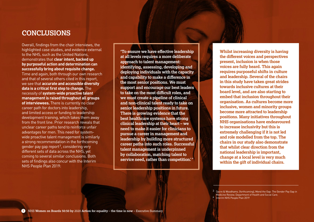# **CONCLUSIONS**

Overall, findings from the chair interviews, the highlighted case studies, and evidence external to the NHS, such as the United Nations, demonstrates that **clear intent, backed up by purposeful action and determination can successfully bring about requisite change.** Time and again, both through our own research and that of several others cited in this report, we see that **accurate and accessible diversity data is a critical first step to change.** The necessity of **system-wide proactive talent management is raised throughout all groups of interviewees.** There is currently no clear career path for doctors into leadership, and limited access or funding to leadership development training, which takes them away from the front line. Prior research reveals that unclear career paths tend to reinforce unfair advantages for men. This need for systemwide proactive talent management is similarly a strong recommendation in the forthcoming gender pay gap report<sup>3</sup>, considering very different sets of data across the NHS, yet coming to several similar conclusions. Both sets of findings also concur with the Interim NHS People Plan 2019:

**'To ensure we have effective leadership at all levels requires a more deliberate approach to talent management: identifying, assessing, developing and deploying individuals with the capacity and capability to make a difference in the most senior positions. We must support and encourage our best leaders to take on the most difficult roles, and we must create a pipeline of clinical and non-clinical talent ready to take on senior leadership positions in future. There is growing evidence that the best healthcare systems have strong clinical leadership at their heart – we need to make it easier for clinicians to pursue a career in management and leadership by building more structured career paths into such roles. Successful talent management is underpinned by collaboration, matching talent to**  service need, rather than competition.<sup>4</sup>

**Whilst increasing diversity is having the different voices and perspectives present, inclusion is when those voices are fully heard. This again requires purposeful shifts in culture and leadership. Several of the chairs in this study have taken great strides towards inclusive cultures at their board level, and are also starting to embed that inclusion throughout their organisation. As cultures become more inclusive, women and minority groups become more attracted to leadership positions. Many initiatives throughout NHS organisations have endeavoured to increase inclusivity but this is extremely challenging if it is not led and role modelled from the top. The chairs in our study also demonstrate that whilst clear direction from the national leadership is important, change at a local level is very much within the gift of individual chairs.**

 $^3$  Dacre & Woodhams. (forthcoming), Mend the Gap: The Gender Pay Gap in Medicine Review. Department of Health and Social Care. 4 Interim NHS People Plan 2019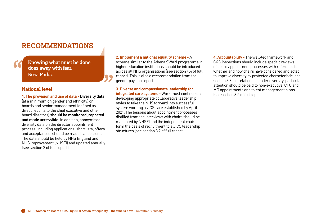# **RECOMMENDATIONS**

**Knowing what must be done does away with fear.** Rosa Parks.

#### **National level**

**1. The provision and use of data - Diversity data**  (at a minimum on gender and ethnicity) on boards and senior management (defined as direct reports to the chief executive and other board directors) **should be monitored, reported and made accessible**. In addition, anonymised diversity data on the director appointment process, including applications, shortlists, offers and acceptances, should be made transparent. The data should be held by NHS England and NHS Improvement (NHSEI) and updated annually (see section 2 of full report).

**2. Implement a national equality scheme -** A

scheme similar to the Athena SWAN programme in higher education institutions should be introduced across all NHS organisations (see section 4.4 of full report). This is also a recommendation from the gender pay gap report.

**3. Diverse and compassionate leadership for integrated care systems -** Work must continue on developing appropriate collaborative leadership styles to take the NHS forward into successful system working as ICSs are established by April 2021. The lessons about appointment processes distilled from the interviews with chairs should be mandated by NHSEI and the independent chairs to form the basis of recruitment to all ICS leadership structures (see section 3.9 of full report).

**4. Accountability -** The well-led framework and CQC inspections should include specific reviews of board appointment processes with reference to whether and how chairs have considered and acted to improve diversity by protected characteristic (see section 3.8). In relation to gender diversity, particular attention should be paid to non-executive, CFO and MD appointments and talent management plans (see section 3.5 of full report).

a a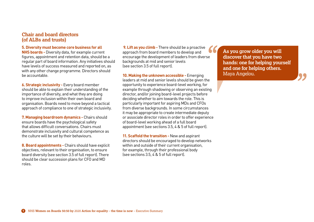#### **Chair and board directors (of ALBs and trusts)**

#### **5. Diversity must become core business for all**

**NHS boards -** Diversity data, for example current figures, appointment and retention data, should be a regular part of board information. Any initiatives should have levels of success measured and reported on, as with any other change programme. Directors should be accountable.

**6. Strategic inclusivity -** Every board member should be able to explain their understanding of the importance of diversity, and what they are doing to improve inclusion within their own board and organisation. Boards need to move beyond a tactical approach of compliance to one of strategic inclusivity.

**7. Managing boardroom dynamics -** Chairs should ensure boards have the psychological safety that allows difficult conversations. Chairs must demonstrate inclusivity and cultural competence as the culture will be set by their behaviours.

**8. Board appointments -** Chairs should have explicit objectives, relevant to their organisation, to ensure board diversity (see section 3.5 of full report). There should be clear succession plans for CFO and MD roles.

 **9. Lift as you climb -** There should be a proactive approach from board members to develop and encourage the development of leaders from diverse backgrounds at mid and senior levels (see section 3.5 of full report).

**10. Making the unknown accessible -** Emerging leaders at mid and senior levels should be given the opportunity to experience board-level working, for example through shadowing or observing an existing director, and/or joining board-level projects before deciding whether to aim towards the role. This is particularly important for aspiring MDs and CFOs from diverse backgrounds. In some circumstances it may be appropriate to create intermediate deputy or associate director roles in order to offer experience of board-level working ahead of a full board appointment (see sections 3.5, 4 & 5 of full report).

**11. Scaffold the transition -** New and aspirant directors should be encouraged to develop networks within and outside of their current organisation, for example, through their professional body (see sections 3.5, 4 & 5 of full report).

**As you grow older you will discover that you have two hands: one for helping yourself and one for helping others.** Maya Angelou.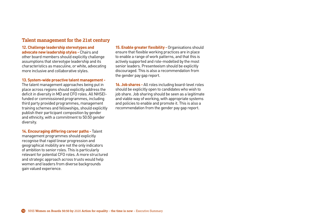#### **Talent management for the 21st century**

**12. Challenge leadership stereotypes and advocate new leadership styles -** Chairs and other board members should explicitly challenge assumptions that stereotype leadership and its characteristics as masculine, or white, advocating more inclusive and collaborative styles.

**13. System-wide proactive talent management -**  The talent management approaches being put in place across regions should explicitly address the deficit in diversity in MD and CFO roles. All NHSEIfunded or commissioned programmes, including third party provided programmes, management training schemes and fellowships, should explicitly publish their participant composition by gender and ethnicity, with a commitment to 50:50 gender diversity.

**14. Encouraging differing career paths -** Talent management programmes should explicitly recognise that rapid linear progression and geographical mobility are not the only indicators of ambition to senior roles. This is particularly relevant for potential CFO roles. A more structured and strategic approach across trusts would help women and leaders from diverse backgrounds gain valued experience.

**15. Enable greater flexibility -**Organisations should ensure that flexible working practices are in place to enable a range of work patterns, and that this is actively supported and role-modelled by the most senior leaders. Presenteeism should be explicitly discouraged. This is also a recommendation from the gender pay gap report.

**16. Job shares -** All roles including board-level roles should be explicitly open to candidates who wish to job share. Job sharing should be seen as a legitimate and viable way of working, with appropriate systems and policies to enable and promote it. This is also a recommendation from the gender pay gap report.